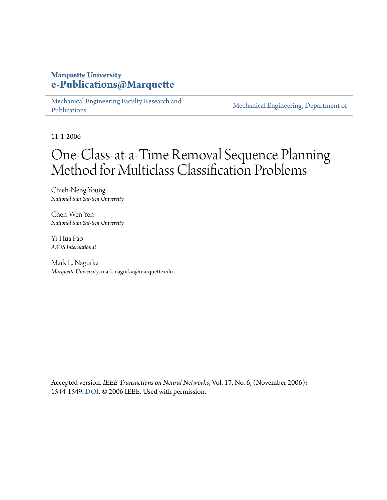#### **Marquette University [e-Publications@Marquette](https://epublications.marquette.edu)**

[Mechanical Engineering Faculty Research and](https://epublications.marquette.edu/mechengin_fac) [Publications](https://epublications.marquette.edu/mechengin_fac)

[Mechanical Engineering, Department of](https://epublications.marquette.edu/mechengin)

11-1-2006

## One-Class-at-a-Time Removal Sequence Planning Method for Multiclass Classification Problems

Chieh-Neng Young *National Sun Yat-Sen University*

Chen-Wen Yen *National Sun Yat-Sen University*

Yi-Hua Pao *ASUS International*

Mark L. Nagurka *Marquette University*, mark.nagurka@marquette.edu

Accepted version*. IEEE Transactions on Neural Networks*, Vol. 17, No. 6, (November 2006): 1544-1549. [DOI](https://doi.org/10.1109/TNN.2006.879768). © 2006 IEEE. Used with permission.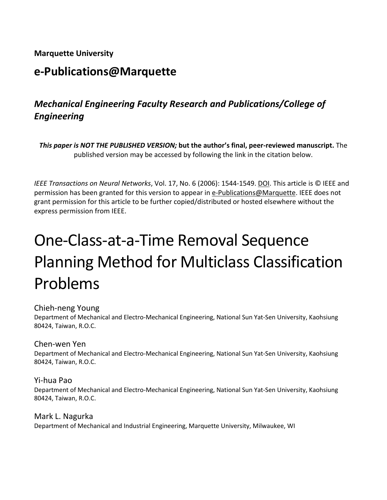#### **Marquette University**

## **e-Publications@Marquette**

## *Mechanical Engineering Faculty Research and Publications/College of Engineering*

*This paper is NOT THE PUBLISHED VERSION;* **but the author's final, peer-reviewed manuscript.** The published version may be accessed by following the link in the citation below.

*IEEE Transactions on Neural Networks*, Vol. 17, No. 6 (2006): 1544-1549. DOI. This article is © IEEE and permission has been granted for this version to appear in [e-Publications@Marquette.](http://epublications.marquette.edu/) IEEE does not grant permission for this article to be further copied/distributed or hosted elsewhere without the express permission from IEEE.

# One-Class-at-a-Time Removal Sequence Planning Method for Multiclass Classification Problems

#### Chieh-neng Young

Department of Mechanical and Electro-Mechanical Engineering, National Sun Yat-Sen University, Kaohsiung 80424, Taiwan, R.O.C.

#### Chen-wen Yen

Department of Mechanical and Electro-Mechanical Engineering, National Sun Yat-Sen University, Kaohsiung 80424, Taiwan, R.O.C.

Yi-hua Pao Department of Mechanical and Electro-Mechanical Engineering, National Sun Yat-Sen University, Kaohsiung 80424, Taiwan, R.O.C.

Mark L. Nagurka Department of Mechanical and Industrial Engineering, Marquette University, Milwaukee, WI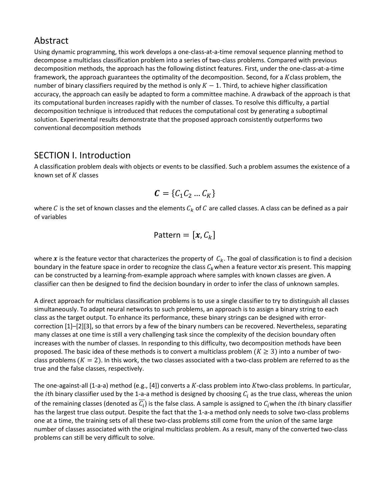#### Abstract

Using dynamic programming, this work develops a one-class-at-a-time removal sequence planning method to decompose a multiclass classification problem into a series of two-class problems. Compared with previous decomposition methods, the approach has the following distinct features. First, under the one-class-at-a-time framework, the approach guarantees the optimality of the decomposition. Second, for a  $K$ class problem, the number of binary classifiers required by the method is only  $K - 1$ . Third, to achieve higher classification accuracy, the approach can easily be adapted to form a committee machine. A drawback of the approach is that its computational burden increases rapidly with the number of classes. To resolve this difficulty, a partial decomposition technique is introduced that reduces the computational cost by generating a suboptimal solution. Experimental results demonstrate that the proposed approach consistently outperforms two conventional decomposition methods

#### SECTION I. Introduction

A classification problem deals with objects or events to be classified. Such a problem assumes the existence of a known set of  $K$  classes

$$
\mathbf{C} = \{C_1 C_2 \dots C_K\}
$$

where C is the set of known classes and the elements  $C_k$  of C are called classes. A class can be defined as a pair of variables

$$
Pattern = [x, C_k]
$$

where x is the feature vector that characterizes the property of  $C_k$ . The goal of classification is to find a decision boundary in the feature space in order to recognize the class  $C_k$  when a feature vector xis present. This mapping can be constructed by a learning-from-example approach where samples with known classes are given. A classifier can then be designed to find the decision boundary in order to infer the class of unknown samples.

A direct approach for multiclass classification problems is to use a single classifier to try to distinguish all classes simultaneously. To adapt neural networks to such problems, an approach is to assign a binary string to each class as the target output. To enhance its performance, these binary strings can be designed with errorcorrection [1]–[2][3], so that errors by a few of the binary numbers can be recovered. Nevertheless, separating many classes at one time is still a very challenging task since the complexity of the decision boundary often increases with the number of classes. In responding to this difficulty, two decomposition methods have been proposed. The basic idea of these methods is to convert a multiclass problem ( $K \geq 3$ ) into a number of twoclass problems ( $K = 2$ ). In this work, the two classes associated with a two-class problem are referred to as the true and the false classes, respectively.

The one-against-all (1-a-a) method (e.g., [4]) converts a  $K$ -class problem into  $K$ two-class problems. In particular, the *i*th binary classifier used by the 1-a-a method is designed by choosing  $C_i$  as the true class, whereas the union of the remaining classes (denoted as  $\overline{C_i}$ ) is the false class. A sample is assigned to  $C_i$  when the *i*th binary classifier has the largest true class output. Despite the fact that the 1-a-a method only needs to solve two-class problems one at a time, the training sets of all these two-class problems still come from the union of the same large number of classes associated with the original multiclass problem. As a result, many of the converted two-class problems can still be very difficult to solve.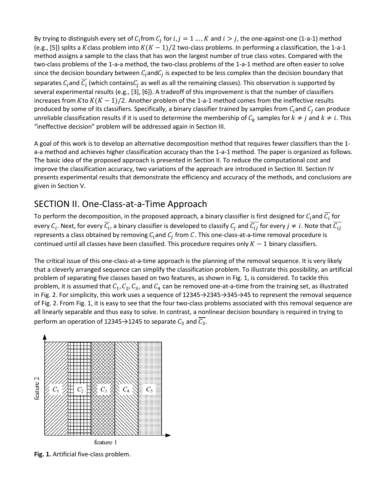By trying to distinguish every set of  $C_i$  from  $C_i$  for  $i, j = 1, ..., K$  and  $i > j$ , the one-against-one (1-a-1) method (e.g., [5]) splits a Kclass problem into  $K(K-1)/2$  two-class problems. In performing a classification, the 1-a-1 method assigns a sample to the class that has won the largest number of true class votes. Compared with the two-class problems of the 1-a-a method, the two-class problems of the 1-a-1 method are often easier to solve since the decision boundary between  $C_i$  and  $C_j$  is expected to be less complex than the decision boundary that separates  $C_i$  and  $\overline{C_i}$  (which contains  $C_i$  as well as all the remaining classes). This observation is supported by several experimental results (e.g., [3], [6]). A tradeoff of this improvement is that the number of classifiers increases from  $K$  to  $K(K - 1)/2$ . Another problem of the 1-a-1 method comes from the ineffective results produced by some of its classifiers. Specifically, a binary classifier trained by samples from  $C_i$  and  $C_j$  can produce unreliable classification results if it is used to determine the membership of  $C_k$  samples for  $k \neq j$  and  $k \neq i$ . This "ineffective decision" problem will be addressed again in Section III.

A goal of this work is to develop an alternative decomposition method that requires fewer classifiers than the 1 a-a method and achieves higher classification accuracy than the 1-a-1 method. The paper is organized as follows. The basic idea of the proposed approach is presented in Section II. To reduce the computational cost and improve the classification accuracy, two variations of the approach are introduced in Section III. Section IV presents experimental results that demonstrate the efficiency and accuracy of the methods, and conclusions are given in Section V.

### SECTION II. One-Class-at-a-Time Approach

To perform the decomposition, in the proposed approach, a binary classifier is first designed for  $C_i$  and  $\overline{C_i}$  for every  $C_i$ . Next, for every  $\overline{C_i}$ , a binary classifier is developed to classify  $C_j$  and  $\overline{C_{ij}}$  for every  $j \neq i$ . Note that  $\overline{C_{ij}}$ represents a class obtained by removing  $C_i$  and  $C_j$  from C. This one-class-at-a-time removal procedure is continued until all classes have been classified. This procedure requires only  $K - 1$  binary classifiers.

The critical issue of this one-class-at-a-time approach is the planning of the removal sequence. It is very likely that a cleverly arranged sequence can simplify the classification problem. To illustrate this possibility, an artificial problem of separating five classes based on two features, as shown in Fig. 1, is considered. To tackle this problem, it is assumed that  $C_1, C_2, C_3$ , and  $C_4$  can be removed one-at-a-time from the training set, as illustrated in Fig. 2. For simplicity, this work uses a sequence of 12345→2345→345→45 to represent the removal sequence of Fig. 2. From Fig. 1, it is easy to see that the four two-class problems associated with this removal sequence are all linearly separable and thus easy to solve. In contrast, a nonlinear decision boundary is required in trying to perform an operation of 12345  $\rightarrow$  1245 to separate  $C_3$  and  $\overline{C_3}$ .



**Fig. 1.** Artificial five-class problem.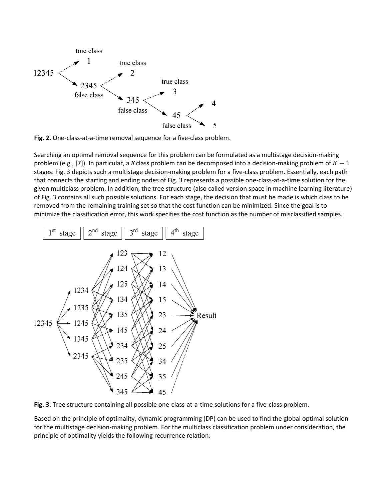

**Fig. 2.** One-class-at-a-time removal sequence for a five-class problem.

Searching an optimal removal sequence for this problem can be formulated as a multistage decision-making problem (e.g., [7]). In particular, a Kclass problem can be decomposed into a decision-making problem of  $K - 1$ stages. Fig. 3 depicts such a multistage decision-making problem for a five-class problem. Essentially, each path that connects the starting and ending nodes of Fig. 3 represents a possible one-class-at-a-time solution for the given multiclass problem. In addition, the tree structure (also called version space in machine learning literature) of Fig. 3 contains all such possible solutions. For each stage, the decision that must be made is which class to be removed from the remaining training set so that the cost function can be minimized. Since the goal is to minimize the classification error, this work specifies the cost function as the number of misclassified samples.



**Fig. 3.** Tree structure containing all possible one-class-at-a-time solutions for a five-class problem.

Based on the principle of optimality, dynamic programming (DP) can be used to find the global optimal solution for the multistage decision-making problem. For the multiclass classification problem under consideration, the principle of optimality yields the following recurrence relation: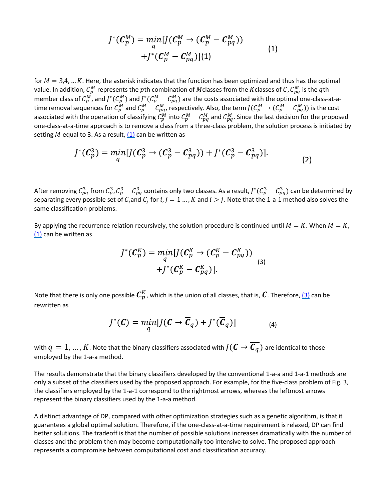$$
J^*(\mathcal{C}_p^M) = \min_q [J(\mathcal{C}_p^M \rightarrow (\mathcal{C}_p^M - \mathcal{C}_{pq}^M))
$$
  
+ 
$$
J^*(\mathcal{C}_p^M - \mathcal{C}_{pq}^M)](1)
$$
 (1)

for  $M = 3,4,... K$ . Here, the asterisk indicates that the function has been optimized and thus has the optimal value. In addition,  $\mathcal{C}^M_p$  represents the  $p$ th combination of Mclasses from the  $K$ classes of  $C$ ,  $\mathcal{C}^M_{pq}$  is the  $q$ th member class of  $C_p^M$ , and  $J^*(C_p^M)$  and  $J^*(C_p^M - C_{pq}^M)$  are the costs associated with the optimal one-class-at-atime removal sequences for  $C_p^M$  and  $C_p^M - C_{pq}^M$ , respectively. Also, the term  $J(C_p^M \to (C_p^M - C_{pq}^M))$  is the cost associated with the operation of classifying  $C_p^M$  into  $C_p^M - C_{pq}^M$  and  $C_{pq}^M$ . Since the last decision for the proposed one-class-at-a-time approach is to remove a class from a three-class problem, the solution process is initiated by setting *M* equal to 3. As a result,  $(1)$  can be written as

$$
J^*(C_p^3) = \min_q [J(C_p^3 \to (C_p^3 - C_{pq}^3)) + J^*(C_p^3 - C_{pq}^3)].
$$
\n(2)

After removing  $C_{pq}^3$  from  $C_p^3$ ,  $C_p^3 - C_{pq}^3$  contains only two classes. As a result,  $J^*(C_p^3 - C_{pq}^3)$  can be determined by separating every possible set of  $C_i$  and  $C_j$  for  $i, j = 1, ..., K$  and  $i > j$ . Note that the 1-a-1 method also solves the same classification problems.

By applying the recurrence relation recursively, the solution procedure is continued until  $M = K$ . When  $M = K$ , [\(1\)](https://ieeexplore.ieee.org/document/#deqn1) can be written as

$$
J^*(\mathcal{C}_p^K) = \min_q [J(\mathcal{C}_p^K \rightarrow (\mathcal{C}_p^K - \mathcal{C}_{pq}^K))
$$
  
+ 
$$
J^*(\mathcal{C}_p^K - \mathcal{C}_{pq}^K)].
$$
 (3)

Note that there is only one possible  $\pmb{C}_p^K$ , which is the union of all classes, that is,  $\pmb{C}$ . Therefore, <u>(3)</u> can be rewritten as

$$
J^*(\mathbf{C}) = \min_q [J(\mathbf{C} \to \overline{\mathbf{C}}_q) + J^*(\overline{\mathbf{C}}_q)] \tag{4}
$$

with  $q = 1, ..., K$ . Note that the binary classifiers associated with  $J(\mathbf{C} \to \overline{\mathbf{C}_q})$  are identical to those employed by the 1-a-a method.

The results demonstrate that the binary classifiers developed by the conventional 1-a-a and 1-a-1 methods are only a subset of the classifiers used by the proposed approach. For example, for the five-class problem of Fig. 3, the classifiers employed by the 1-a-1 correspond to the rightmost arrows, whereas the leftmost arrows represent the binary classifiers used by the 1-a-a method.

A distinct advantage of DP, compared with other optimization strategies such as a genetic algorithm, is that it guarantees a global optimal solution. Therefore, if the one-class-at-a-time requirement is relaxed, DP can find better solutions. The tradeoff is that the number of possible solutions increases dramatically with the number of classes and the problem then may become computationally too intensive to solve. The proposed approach represents a compromise between computational cost and classification accuracy.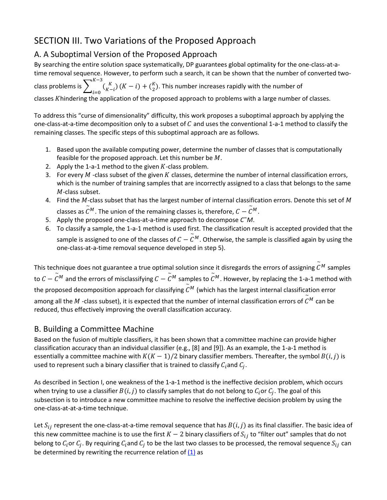## SECTION III. Two Variations of the Proposed Approach

#### A. A Suboptimal Version of the Proposed Approach

By searching the entire solution space systematically, DP guarantees global optimality for the one-class-at-atime removal sequence. However, to perform such a search, it can be shown that the number of converted two-

class problems is  $\sum_{i=0} \binom{K}{K-i}$  $K-3$  $\binom{K}{K-i}(K-i) + \binom{K}{2}$ . This number increases rapidly with the number of classes  $K$ hindering the application of the proposed approach to problems with a large number of classes.

To address this "curse of dimensionality" difficulty, this work proposes a suboptimal approach by applying the one-class-at-a-time decomposition only to a subset of  $C$  and uses the conventional 1-a-1 method to classify the remaining classes. The specific steps of this suboptimal approach are as follows.

- 1. Based upon the available computing power, determine the number of classes that is computationally feasible for the proposed approach. Let this number be  $M$ .
- 2. Apply the 1-a-1 method to the given  $K$ -class problem.
- 3. For every  $M$  -class subset of the given K classes, determine the number of internal classification errors, which is the number of training samples that are incorrectly assigned to a class that belongs to the same  $M$ -class subset.
- 4. Find the  $M$ -class subset that has the largest number of internal classification errors. Denote this set of  $M$ classes as  $\widetilde{\mathcal{C}}^M.$  The union of the remaining classes is, therefore,  $\mathcal{C}-\widetilde{\mathcal{C}}^M.$
- 5. Apply the proposed one-class-at-a-time approach to decompose *C*˜*M*.
- 6. To classify a sample, the 1-a-1 method is used first. The classification result is accepted provided that the sample is assigned to one of the classes of  $\mathcal{C}-\widetilde{\mathcal{C}}^M.$  Otherwise, the sample is classified again by using the one-class-at-a-time removal sequence developed in step 5).

This technique does not guarantee a true optimal solution since it disregards the errors of assigning  $\widetilde{\mathcal{C}}^M$  samples to  ${\cal C}-\widetilde{\cal C}^M$  and the errors of misclassifying  ${\cal C}-\widetilde{\cal C}^M$  samples to  $\widetilde{\cal C}^M.$  However, by replacing the 1-a-1 method with the proposed decomposition approach for classifying  $\widetilde{\mathcal{C}}^{M}$  (which has the largest internal classification error among all the  $M$  -class subset), it is expected that the number of internal classification errors of  $\widetilde{\mathcal{C}}^M$  can be reduced, thus effectively improving the overall classification accuracy.

#### B. Building a Committee Machine

Based on the fusion of multiple classifiers, it has been shown that a committee machine can provide higher classification accuracy than an individual classifier (e.g., [8] and [9]). As an example, the 1-a-1 method is essentially a committee machine with  $K(K-1)/2$  binary classifier members. Thereafter, the symbol  $B(i,j)$  is used to represent such a binary classifier that is trained to classify  $C_i$  and  $C_i$ .

As described in Section I, one weakness of the 1-a-1 method is the ineffective decision problem, which occurs when trying to use a classifier  $B(i,j)$  to classify samples that do not belong to  $C_i$  or  $C_j$ . The goal of this subsection is to introduce a new committee machine to resolve the ineffective decision problem by using the one-class-at-at-a-time technique.

Let  $S_{ij}$  represent the one-class-at-a-time removal sequence that has  $B(i,j)$  as its final classifier. The basic idea of this new committee machine is to use the first  $K-2$  binary classifiers of  $S_{ij}$  to "filter out" samples that do not belong to  $C_i$  or  $C_i$ . By requiring  $C_i$  and  $C_i$  to be the last two classes to be processed, the removal sequence  $S_{ij}$  can be determined by rewriting the recurrence relation of  $(1)$  as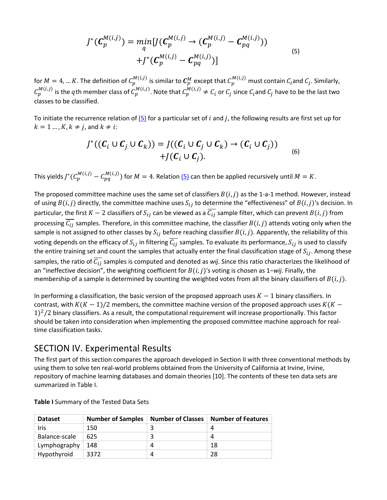$$
J^*(\mathcal{C}_p^{M(i,j)}) = \min_{q} [J(\mathcal{C}_p^{M(i,j)} \to (\mathcal{C}_p^{M(i,j)} - \mathcal{C}_{pq}^{M(i,j)})) + J^*(\mathcal{C}_p^{M(i,j)} - \mathcal{C}_{pq}^{M(i,j)})]
$$
(5)

for  $M=4,...K$ . The definition of  $C_p^{M(l,J)}$  is similar to  $C_p^M$  except that  $C_p^{M(l,J)}$  must contain  $C_i$ and  $C_j$ . Similarly,  $C_p^{M(i,j)}$  is the  $q$ th member class of  $C_p^{M(i,j)}$ . Note that  $C_p^{M(i,j)}\neq C_i$  or  $C_j$  since  $C_i$ and  $C_j$  have to be the last two classes to be classified.

To initiate the recurrence relation of  $(5)$  for a particular set of i and j, the following results are first set up for  $k = 1 \dots, K$ ,  $k \neq j$ , and  $k \neq i$ :

$$
J^*((C_i \cup C_j \cup C_k)) = J((C_i \cup C_j \cup C_k) \rightarrow (C_i \cup C_j))
$$
  
+J(C\_i \cup C\_j). (6)

This yields  $J^*(C_p^{M(i,j)}-C_{pq}^{M(i,j)})$  for  $M=4$ . Relation <u>(5)</u> can then be applied recursively until  $M=K$ .

The proposed committee machine uses the same set of classifiers  $B(i, j)$  as the 1-a-1 method. However, instead of using  $B(i,j)$  directly, the committee machine uses  $S_{ij}$  to determine the "effectiveness" of  $B(i,j)$ 's decision. In particular, the first  $K-2$  classifiers of  $S_{ij}$  can be viewed as a  $\overline{C_{ij}}$  sample filter, which can prevent  $B(i,j)$  from processing  $\overline{C_{ij}}$  samples. Therefore, in this committee machine, the classifier  $B(i,j)$  attends voting only when the sample is not assigned to other classes by  $S_{ij}$  before reaching classifier  $B(i,j)$ . Apparently, the reliability of this voting depends on the efficacy of  $S_{ij}$  in filtering  $C_{ij}$  samples. To evaluate its performance,  $S_{ij}$  is used to classify the entire training set and count the samples that actually enter the final classification stage of  $S_{ij}$ . Among these samples, the ratio of  $\overline{C_{ij}}$  samples is computed and denoted as *wij*. Since this ratio characterizes the likelihood of an "ineffective decision", the weighting coefficient for  $B(i,j)$ 's voting is chosen as 1−*wij*. Finally, the membership of a sample is determined by counting the weighted votes from all the binary classifiers of  $B(i, j)$ .

In performing a classification, the basic version of the proposed approach uses  $K - 1$  binary classifiers. In contrast, with  $K(K-1)/2$  members, the committee machine version of the proposed approach uses  $K(K-1)/2$  $1$ <sup>2</sup>/2 binary classifiers. As a result, the computational requirement will increase proportionally. This factor should be taken into consideration when implementing the proposed committee machine approach for realtime classification tasks.

#### SECTION IV. Experimental Results

The first part of this section compares the approach developed in Section II with three conventional methods by using them to solve ten real-world problems obtained from the University of California at Irvine, Irvine, repository of machine learning databases and domain theories [10]. The contents of these ten data sets are summarized in Table I.

| <b>Dataset</b> | <b>Number of Samples</b> | <b>Number of Classes</b> | Number of Features |
|----------------|--------------------------|--------------------------|--------------------|
| Iris           | 150                      |                          |                    |
| Balance-scale  | 625                      |                          | 4                  |
| Lymphography   | 148                      | $\Lambda$                | 18                 |
| Hypothyroid    | 3372                     | Δ                        | 28                 |

**Table I** Summary of the Tested Data Sets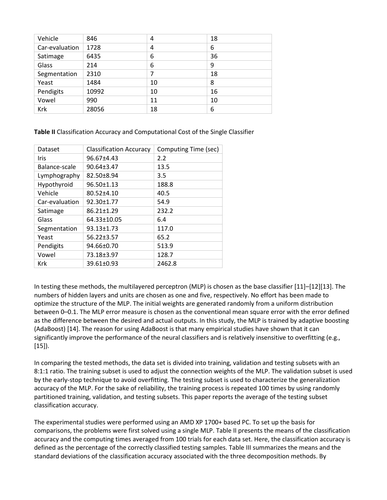| Vehicle        | 846   | 4  | 18 |
|----------------|-------|----|----|
| Car-evaluation | 1728  | 4  | 6  |
| Satimage       | 6435  | 6  | 36 |
| Glass          | 214   | 6  | 9  |
| Segmentation   | 2310  | 7  | 18 |
| Yeast          | 1484  | 10 | 8  |
| Pendigits      | 10992 | 10 | 16 |
| Vowel          | 990   | 11 | 10 |
| Krk            | 28056 | 18 | 6  |

**Table II** Classification Accuracy and Computational Cost of the Single Classifier

| Dataset        | <b>Classification Accuracy</b> | Computing Time (sec) |
|----------------|--------------------------------|----------------------|
| Iris           | 96.67±4.43                     | 2.2                  |
| Balance-scale  | 90.64±3.47                     | 13.5                 |
| Lymphography   | 82.50±8.94                     | 3.5                  |
| Hypothyroid    | $96.50 \pm 1.13$               | 188.8                |
| Vehicle        | 80.52±4.10                     | 40.5                 |
| Car-evaluation | 92.30±1.77                     | 54.9                 |
| Satimage       | 86.21±1.29                     | 232.2                |
| Glass          | 64.33±10.05                    | 6.4                  |
| Segmentation   | $93.13 \pm 1.73$               | 117.0                |
| Yeast          | $56.22 \pm 3.57$               | 65.2                 |
| Pendigits      | 94.66±0.70                     | 513.9                |
| Vowel          | 73.18±3.97                     | 128.7                |
| Krk            | 39.61±0.93                     | 2462.8               |

In testing these methods, the multilayered perceptron (MLP) is chosen as the base classifier [11]–[12][13]. The numbers of hidden layers and units are chosen as one and five, respectively. No effort has been made to optimize the structure of the MLP. The initial weights are generated randomly from a uniform distribution between 0–0.1. The MLP error measure is chosen as the conventional mean square error with the error defined as the difference between the desired and actual outputs. In this study, the MLP is trained by adaptive boosting (AdaBoost) [14]. The reason for using AdaBoost is that many empirical studies have shown that it can significantly improve the performance of the neural classifiers and is relatively insensitive to overfitting (e.g., [15]).

In comparing the tested methods, the data set is divided into training, validation and testing subsets with an 8:1:1 ratio. The training subset is used to adjust the connection weights of the MLP. The validation subset is used by the early-stop technique to avoid overfitting. The testing subset is used to characterize the generalization accuracy of the MLP. For the sake of reliability, the training process is repeated 100 times by using randomly partitioned training, validation, and testing subsets. This paper reports the average of the testing subset classification accuracy.

The experimental studies were performed using an AMD XP 1700+ based PC. To set up the basis for comparisons, the problems were first solved using a single MLP. Table II presents the means of the classification accuracy and the computing times averaged from 100 trials for each data set. Here, the classification accuracy is defined as the percentage of the correctly classified testing samples. Table III summarizes the means and the standard deviations of the classification accuracy associated with the three decomposition methods. By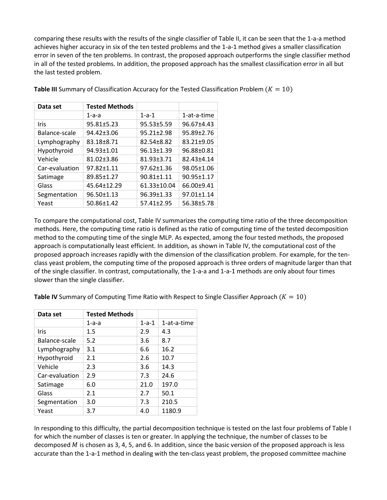comparing these results with the results of the single classifier of Table II, it can be seen that the 1-a-a method achieves higher accuracy in six of the ten tested problems and the 1-a-1 method gives a smaller classification error in seven of the ten problems. In contrast, the proposed approach outperforms the single classifier method in all of the tested problems. In addition, the proposed approach has the smallest classification error in all but the last tested problem.

| Data set       | <b>Tested Methods</b> |             |             |
|----------------|-----------------------|-------------|-------------|
|                | $1-a-a$               | $1 - a - 1$ | 1-at-a-time |
| Iris           | 95.81±5.23            | 95.53±5.59  | 96.67±4.43  |
| Balance-scale  | 94.42±3.06            | 95.21±2.98  | 95.89±2.76  |
| Lymphography   | 83.18±8.71            | 82.54±8.82  | 83.21±9.05  |
| Hypothyroid    | 94.93±1.01            | 96.13±1.39  | 96.88±0.81  |
| Vehicle        | 81.02±3.86            | 81.93±3.71  | 82.43±4.14  |
| Car-evaluation | 97.82±1.11            | 97.62±1.36  | 98.05±1.06  |
| Satimage       | 89.85±1.27            | 90.81±1.11  | 90.95±1.17  |
| Glass          | 45.64±12.29           | 61.33±10.04 | 66.00±9.41  |
| Segmentation   | 96.50±1.13            | 96.39±1.33  | 97.01±1.14  |
| Yeast          | 50.86±1.42            | 57.41±2.95  | 56.38±5.78  |

**Table III** Summary of Classification Accuracy for the Tested Classification Problem  $(K = 10)$ 

To compare the computational cost, Table IV summarizes the computing time ratio of the three decomposition methods. Here, the computing time ratio is defined as the ratio of computing time of the tested decomposition method to the computing time of the single MLP. As expected, among the four tested methods, the proposed approach is computationally least efficient. In addition, as shown in Table IV, the computational cost of the proposed approach increases rapidly with the dimension of the classification problem. For example, for the tenclass yeast problem, the computing time of the proposed approach is three orders of magnitude larger than that of the single classifier. In contrast, computationally, the 1-a-a and 1-a-1 methods are only about four times slower than the single classifier.

**Table IV** Summary of Computing Time Ratio with Respect to Single Classifier Approach  $(K = 10)$ 

| Data set       | <b>Tested Methods</b> |             |             |
|----------------|-----------------------|-------------|-------------|
|                | $1-a-a$               | $1 - a - 1$ | 1-at-a-time |
| Iris           | 1.5                   | 2.9         | 4.3         |
| Balance-scale  | 5.2                   | 3.6         | 8.7         |
| Lymphography   | 3.1                   | 6.6         | 16.2        |
| Hypothyroid    | 2.1                   | 2.6         | 10.7        |
| Vehicle        | 2.3                   | 3.6         | 14.3        |
| Car-evaluation | 2.9                   | 7.3         | 24.6        |
| Satimage       | 6.0                   | 21.0        | 197.0       |
| Glass          | 2.1                   | 2.7         | 50.1        |
| Segmentation   | 3.0                   | 7.3         | 210.5       |
| Yeast          | 3.7                   | 4.0         | 1180.9      |

In responding to this difficulty, the partial decomposition technique is tested on the last four problems of Table I for which the number of classes is ten or greater. In applying the technique, the number of classes to be decomposed  $M$  is chosen as 3, 4, 5, and 6. In addition, since the basic version of the proposed approach is less accurate than the 1-a-1 method in dealing with the ten-class yeast problem, the proposed committee machine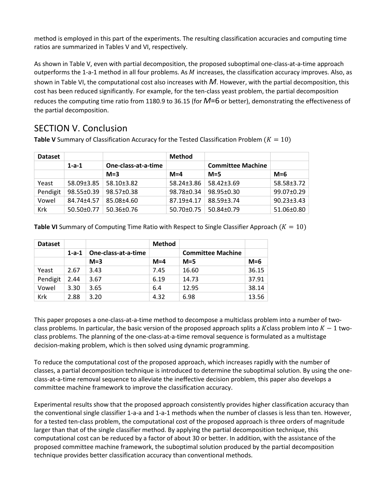method is employed in this part of the experiments. The resulting classification accuracies and computing time ratios are summarized in Tables V and VI, respectively.

As shown in Table V, even with partial decomposition, the proposed suboptimal one-class-at-a-time approach outperforms the 1-a-1 method in all four problems. As  $M$  increases, the classification accuracy improves. Also, as shown in Table VI, the computational cost also increases with *M*. However, with the partial decomposition, this cost has been reduced significantly. For example, for the ten-class yeast problem, the partial decomposition reduces the computing time ratio from 1180.9 to 36.15 (for *M*=6 or better), demonstrating the effectiveness of the partial decomposition.

#### SECTION V. Conclusion

**Table V** Summary of Classification Accuracy for the Tested Classification Problem  $(K = 10)$ 

| <b>Dataset</b> |                  |                     | <b>Method</b>    |                          |                  |
|----------------|------------------|---------------------|------------------|--------------------------|------------------|
|                | $1 - a - 1$      | One-class-at-a-time |                  | <b>Committee Machine</b> |                  |
|                |                  | $M = 3$             | $M = 4$          | $M = 5$                  | $M=6$            |
| Yeast          | 58.09±3.85       | 58.10±3.82          | 58.24±3.86       | $58.42 \pm 3.69$         | 58.58±3.72       |
| Pendigit       | 98.55±0.39       | 98.57±0.38          | 98.78±0.34       | 98.95±0.30               | 99.07±0.29       |
| Vowel          | 84.74+4.57       | 85.08±4.60          | 87.19+4.17       | 88.59+3.74               | $90.23 \pm 3.43$ |
| Krk            | $50.50 \pm 0.77$ | $50.36 \pm 0.76$    | $50.70 \pm 0.75$ | $50.84 \pm 0.79$         | 51.06±0.80       |

**Table VI** Summary of Computing Time Ratio with Respect to Single Classifier Approach  $(K = 10)$ 

| <b>Dataset</b> |             |                     | <b>Method</b> |                          |       |
|----------------|-------------|---------------------|---------------|--------------------------|-------|
|                | $1 - a - 1$ | One-class-at-a-time |               | <b>Committee Machine</b> |       |
|                |             | $M=3$               | $M=4$         | $M=5$                    | $M=6$ |
| Yeast          | 2.67        | 3.43                | 7.45          | 16.60                    | 36.15 |
| Pendigit       | 2.44        | 3.67                | 6.19          | 14.73                    | 37.91 |
| Vowel          | 3.30        | 3.65                | 6.4           | 12.95                    | 38.14 |
| Krk            | 2.88        | 3.20                | 4.32          | 6.98                     | 13.56 |

This paper proposes a one-class-at-a-time method to decompose a multiclass problem into a number of twoclass problems. In particular, the basic version of the proposed approach splits a Kclass problem into  $K - 1$  twoclass problems. The planning of the one-class-at-a-time removal sequence is formulated as a multistage decision-making problem, which is then solved using dynamic programming.

To reduce the computational cost of the proposed approach, which increases rapidly with the number of classes, a partial decomposition technique is introduced to determine the suboptimal solution. By using the oneclass-at-a-time removal sequence to alleviate the ineffective decision problem, this paper also develops a committee machine framework to improve the classification accuracy.

Experimental results show that the proposed approach consistently provides higher classification accuracy than the conventional single classifier 1-a-a and 1-a-1 methods when the number of classes is less than ten. However, for a tested ten-class problem, the computational cost of the proposed approach is three orders of magnitude larger than that of the single classifier method. By applying the partial decomposition technique, this computational cost can be reduced by a factor of about 30 or better. In addition, with the assistance of the proposed committee machine framework, the suboptimal solution produced by the partial decomposition technique provides better classification accuracy than conventional methods.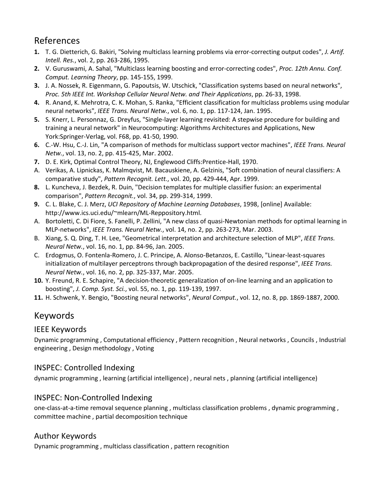#### References

- **1.** T. G. Dietterich, G. Bakiri, "Solving multiclass learning problems via error-correcting output codes", *J. Artif. Intell. Res.*, vol. 2, pp. 263-286, 1995.
- **2.** V. Guruswami, A. Sahal, "Multiclass learning boosting and error-correcting codes", *Proc. 12th Annu. Conf. Comput. Learning Theory*, pp. 145-155, 1999.
- **3.** J. A. Nossek, R. Eigenmann, G. Papoutsis, W. Utschick, "Classification systems based on neural networks", *Proc. 5th IEEE Int. Workshop Cellular Neural Netw. and Their Applications*, pp. 26-33, 1998.
- **4.** R. Anand, K. Mehrotra, C. K. Mohan, S. Ranka, "Efficient classification for multiclass problems using modular neural networks", *IEEE Trans. Neural Netw.*, vol. 6, no. 1, pp. 117-124, Jan. 1995.
- **5.** S. Knerr, L. Personnaz, G. Dreyfus, "Single-layer learning revisited: A stepwise procedure for building and training a neural network" in Neurocomputing: Algorithms Architectures and Applications, New York:Springer-Verlag, vol. F68, pp. 41-50, 1990.
- **6.** C.-W. Hsu, C.-J. Lin, "A comparison of methods for multiclass support vector machines", *IEEE Trans. Neural Netw.*, vol. 13, no. 2, pp. 415-425, Mar. 2002.
- **7.** D. E. Kirk, Optimal Control Theory, NJ, Englewood Cliffs:Prentice-Hall, 1970.
- A. Verikas, A. Lipnickas, K. Malmqvist, M. Bacauskiene, A. Gelzinis, "Soft combination of neural classifiers: A comparative study", *Pattern Recognit. Lett.*, vol. 20, pp. 429-444, Apr. 1999.
- **8.** L. Kuncheva, J. Bezdek, R. Duin, "Decision templates for multiple classifier fusion: an experimental comparison", *Pattern Recognit.*, vol. 34, pp. 299-314, 1999.
- **9.** C. L. Blake, C. J. Merz, *UCI Repository of Machine Learning Databases*, 1998, [online] Available: http://www.ics.uci.edu/~mlearn/ML-Reppository.html.
- A. Bortoletti, C. Di Fiore, S. Fanelli, P. Zellini, "A new class of quasi-Newtonian methods for optimal learning in MLP-networks", *IEEE Trans. Neural Netw.*, vol. 14, no. 2, pp. 263-273, Mar. 2003.
- B. Xiang, S. Q. Ding, T. H. Lee, "Geometrical interpretation and architecture selection of MLP", *IEEE Trans. Neural Netw.*, vol. 16, no. 1, pp. 84-96, Jan. 2005.
- C. Erdogmus, O. Fontenla-Romero, J. C. Principe, A. Alonso-Betanzos, E. Castillo, "Linear-least-squares initialization of multilayer perceptrons through backpropagation of the desired response", *IEEE Trans. Neural Netw.*, vol. 16, no. 2, pp. 325-337, Mar. 2005.
- **10.** Y. Freund, R. E. Schapire, "A decision-theoretic generalization of on-line learning and an application to boosting", *J. Comp. Syst. Sci.*, vol. 55, no. 1, pp. 119-139, 1997.
- **11.** H. Schwenk, Y. Bengio, "Boosting neural networks", *Neural Comput.*, vol. 12, no. 8, pp. 1869-1887, 2000.

#### Keywords

#### IEEE Keywords

Dynamic programming , Computational efficiency , Pattern recognition , Neural networks , Councils , Industrial engineering , Design methodology , Voting

#### INSPEC: Controlled Indexing

dynamic programming , learning (artificial intelligence) , neural nets , planning (artificial intelligence)

#### INSPEC: Non-Controlled Indexing

one-class-at-a-time removal sequence planning , multiclass classification problems , dynamic programming , committee machine , partial decomposition technique

#### Author Keywords

Dynamic programming , multiclass classification , pattern recognition